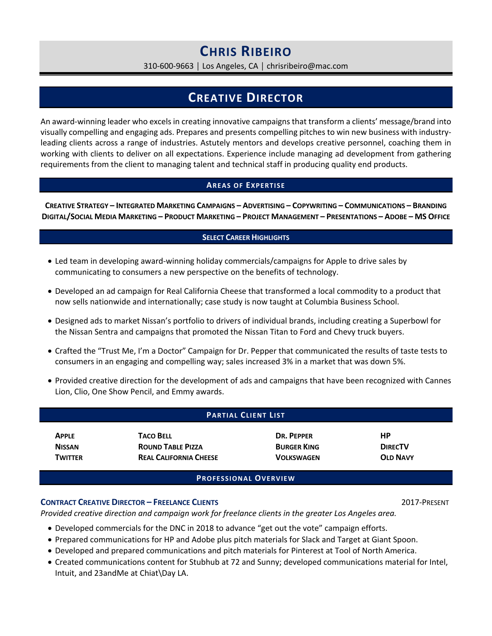# **CHRIS RIBEIRO**

310-600-9663 │ Los Angeles, CA │ chrisribeiro@mac.com

## **CREATIVE DIRECTOR**

An award-winning leader who excels in creating innovative campaigns that transform a clients' message/brand into visually compelling and engaging ads. Prepares and presents compelling pitches to win new business with industryleading clients across a range of industries. Astutely mentors and develops creative personnel, coaching them in working with clients to deliver on all expectations. Experience include managing ad development from gathering requirements from the client to managing talent and technical staff in producing quality end products.

#### **AREAS OF EXPERTISE**

**CREATIVE STRATEGY – INTEGRATED MARKETING CAMPAIGNS – ADVERTISING – COPYWRITING – COMMUNICATIONS – BRANDING DIGITAL/SOCIAL MEDIA MARKETING – PRODUCT MARKETING – PROJECT MANAGEMENT – PRESENTATIONS – ADOBE – MS OFFICE** 

#### **SELECT CAREER HIGHLIGHTS**

- Led team in developing award-winning holiday commercials/campaigns for Apple to drive sales by communicating to consumers a new perspective on the benefits of technology.
- Developed an ad campaign for Real California Cheese that transformed a local commodity to a product that now sells nationwide and internationally; case study is now taught at Columbia Business School.
- Designed ads to market Nissan's portfolio to drivers of individual brands, including creating a Superbowl for the Nissan Sentra and campaigns that promoted the Nissan Titan to Ford and Chevy truck buyers.
- Crafted the "Trust Me, I'm a Doctor" Campaign for Dr. Pepper that communicated the results of taste tests to consumers in an engaging and compelling way; sales increased 3% in a market that was down 5%.
- Provided creative direction for the development of ads and campaigns that have been recognized with Cannes Lion, Clio, One Show Pencil, and Emmy awards.

| <b>PARTIAL CLIENT LIST</b> |                               |                    |                 |
|----------------------------|-------------------------------|--------------------|-----------------|
| <b>APPLE</b>               | <b>TACO BELL</b>              | DR. PEPPER         | НP              |
| <b>NISSAN</b>              | <b>ROUND TABLE PIZZA</b>      | <b>BURGER KING</b> | <b>DIRECTV</b>  |
| <b>TWITTER</b>             | <b>REAL CALIFORNIA CHEESE</b> | <b>VOLKSWAGEN</b>  | <b>OLD NAVY</b> |

#### **CONTRACT CREATIVE DIRECTOR – FREELANCE CLIENTS** 2017-PRESENT

*Provided creative direction and campaign work for freelance clients in the greater Los Angeles area.* 

- Developed commercials for the DNC in 2018 to advance "get out the vote" campaign efforts.
- Prepared communications for HP and Adobe plus pitch materials for Slack and Target at Giant Spoon.
- Developed and prepared communications and pitch materials for Pinterest at Tool of North America.
- Created communications content for Stubhub at 72 and Sunny; developed communications material for Intel, Intuit, and 23andMe at Chiat\Day LA.